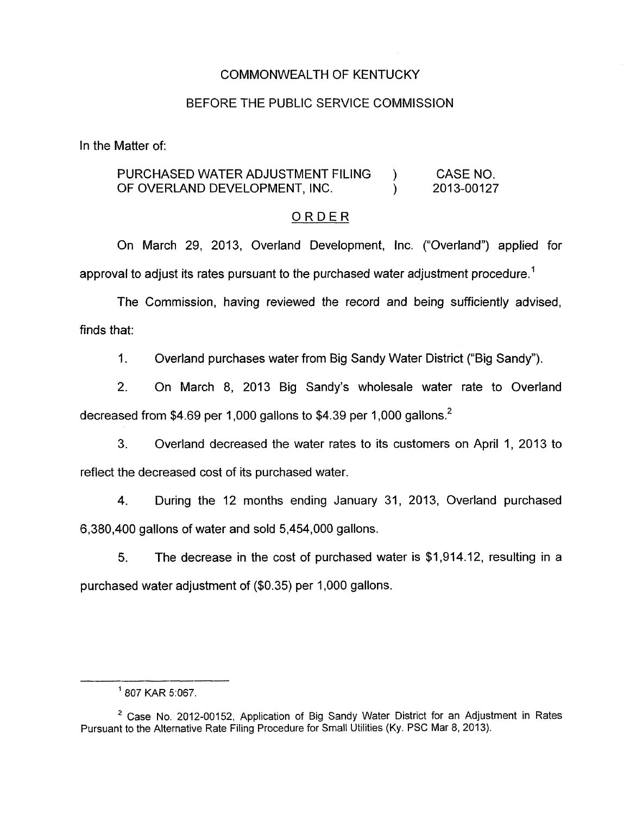#### COMMONWEALTH OF KENTUCKY

#### BEFORE THE PUBLIC SERVICE COMMISSION

In the Matter of:

### PURCHASED WATER ADJUSTMENT FILING ) CASE NO. OF OVERLAND DEVELOPMENT, INC. (2013-00127

#### ORDER

On March 29, 2013, Overland Development, Inc. ("Overland") applied for approval to adjust its rates pursuant to the purchased water adjustment procedure.<sup>1</sup>

The Commission, having reviewed the record and being sufficiently advised, finds that:

1. Overland purchases water from Big Sandy Water District ("Big Sandy").

2. On March 8, 2013 Big Sandy's wholesale water rate to Overland decreased from \$4.69 per 1,000 gallons to \$4.39 per 1,000 gallons.<sup>2</sup>

3. Overland decreased the water rates to its customers on April 1, 2013 to reflect the decreased cost of its purchased water.

4. During the 12 months ending January 31, 2013, Overland purchased 6,380,400 gallons of water and sold 5,454,000 gallons.

**5.** The decrease in the cost of purchased water is \$1,914.12, resulting in a purchased water adjustment of (\$0.35) per I ,000 gallons.

<sup>&#</sup>x27; 807 KAR 5:067.

<sup>&</sup>lt;sup>2</sup> Case No. 2012-00152, Application of Big Sandy Water District for an Adjustment in Rates Pursuant to the Alternative Rate Filing Procedure for Small Utilities (Ky. PSC Mar 8, 2013).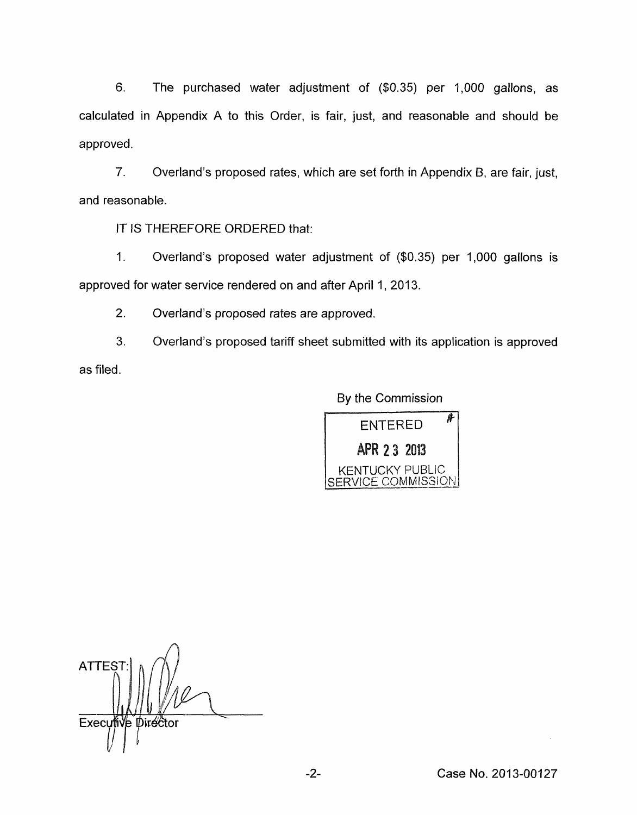6. The purchased water adjustment of (\$0.35) per 1,000 gallons, as calculated in Appendix A to this Order, is fair, just, and reasonable and should be approved.

7. and reasonable. Overland's proposed rates, which are set forth in Appendix 6, are fair, just,

IT IS THEREFORE ORDERED that:

1. Overland's proposed water adjustment of (\$0.35) per 1,000 gallons is approved for water service rendered on and after April 1, 2013.

2. Overland's proposed rates are approved.

3. as filed. Overland's proposed tariff sheet submitted with its application is approved

By the Commission



**ATTEST** Executive Director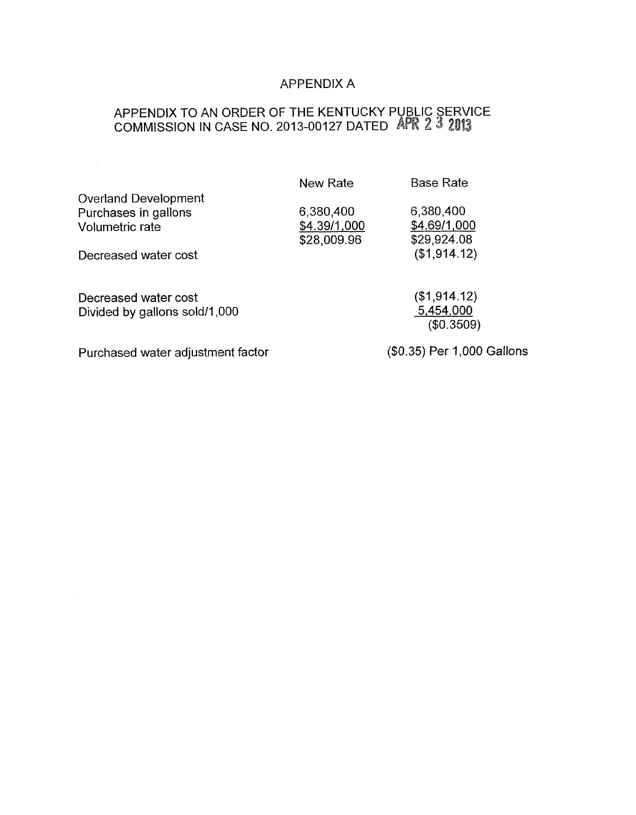## APPENDIX A

## APPENDIX TO AN ORDER OF THE KENTUCKY PUBLIC SERVICE COMMISSION IN CASE NO. 2013-00127 DATED 《APR 2 3 21

|                                                                        | New Rate                                 | <b>Base Rate</b>                         |
|------------------------------------------------------------------------|------------------------------------------|------------------------------------------|
| <b>Overland Development</b><br>Purchases in gallons<br>Volumetric rate | 6,380,400<br>\$4.39/1,000<br>\$28,009.96 | 6,380,400<br>\$4.69/1,000<br>\$29,924.08 |
| Decreased water cost                                                   |                                          | (\$1,914.12)                             |
| Decreased water cost<br>Divided by gallons sold/1,000                  |                                          | (\$1,914.12)<br>5,454,000<br>(\$0.3509)  |
| Purchased water adjustment factor                                      |                                          | (\$0.35) Per 1,000 Gallons               |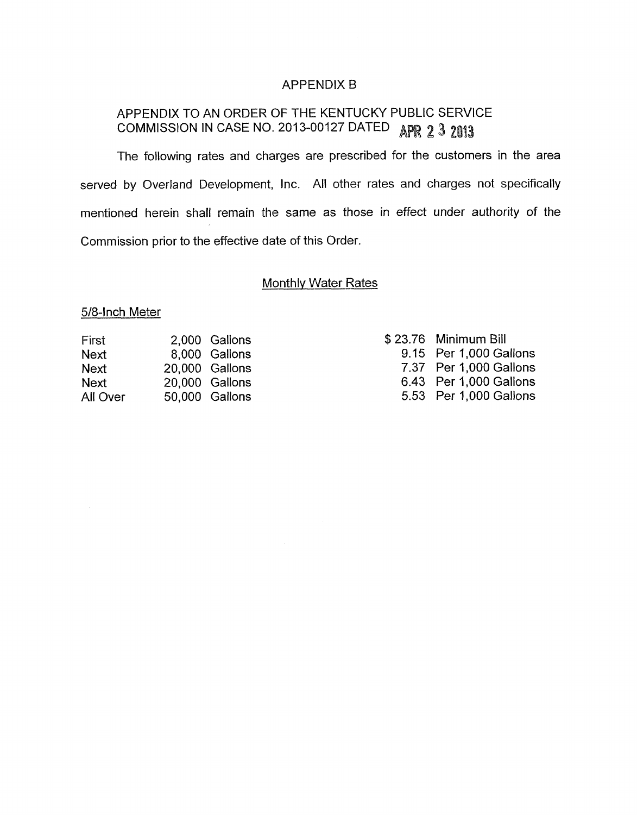## APPENDIX B

# APPENDIX TO AN ORDER OF THE KENTUCKY PUBLIC SERVICE COMMISSION IN CASE NO. 2013-00127 DATED APR 2 3 2013

The following rates and charges are prescribed for the customers in the area served by Overland Development, Inc. All other rates and charges not specifically mentioned herein shall remain the same as those in effect under authority of the Commission prior to the effective date of this Order

## **Monthly Water Rates**

### 5/8-1nch Meter

| First       | 2,000 Gallons  |
|-------------|----------------|
| <b>Next</b> | 8,000 Gallons  |
| <b>Next</b> | 20,000 Gallons |
| <b>Next</b> | 20,000 Gallons |
| All Over    | 50,000 Gallons |

| \$23.76 Minimum Bill   |
|------------------------|
| 9.15 Per 1,000 Gallons |
| 7.37 Per 1,000 Gallons |
| 6.43 Per 1,000 Gallons |
| 5.53 Per 1,000 Gallons |